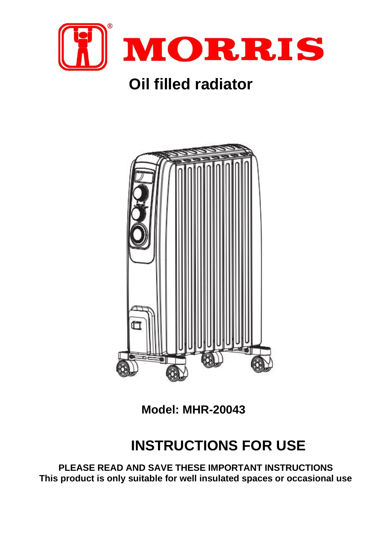

# **Oil filled radiator**



**Model: MHR-20043**

# **INSTRUCTIONS FOR USE**

**PLEASE READ AND SAVE THESE IMPORTANT INSTRUCTIONS This product is only suitable for well insulated spaces or occasional use**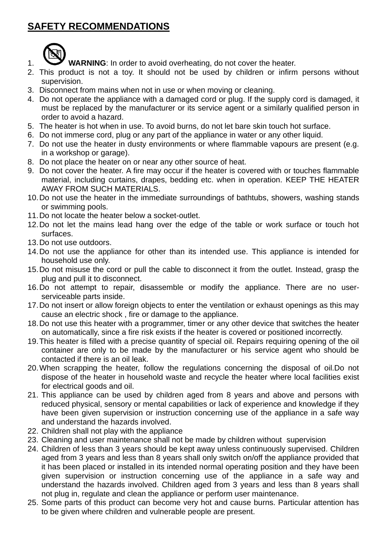## **SAFETY RECOMMENDATIONS**



- 1. **WARNING**: In order to avoid overheating, do not cover the heater.
- 2. This product is not a toy. It should not be used by children or infirm persons without supervision.
- 3. Disconnect from mains when not in use or when moving or cleaning.
- 4. Do not operate the appliance with a damaged cord or plug. If the supply cord is damaged, it must be replaced by the manufacturer or its service agent or a similarly qualified person in order to avoid a hazard.
- 5. The heater is hot when in use. To avoid burns, do not let bare skin touch hot surface.
- 6. Do not immerse cord, plug or any part of the appliance in water or any other liquid.
- 7. Do not use the heater in dusty environments or where flammable vapours are present (e.g. in a workshop or garage).
- 8. Do not place the heater on or near any other source of heat.
- 9. Do not cover the heater. A fire may occur if the heater is covered with or touches flammable material, including curtains, drapes, bedding etc. when in operation. KEEP THE HEATER AWAY FROM SUCH MATERIALS.
- 10.Do not use the heater in the immediate surroundings of bathtubs, showers, washing stands or swimming pools.
- 11.Do not locate the heater below a socket-outlet.
- 12.Do not let the mains lead hang over the edge of the table or work surface or touch hot surfaces.
- 13.Do not use outdoors.
- 14.Do not use the appliance for other than its intended use. This appliance is intended for household use only.
- 15.Do not misuse the cord or pull the cable to disconnect it from the outlet. Instead, grasp the plug and pull it to disconnect.
- 16.Do not attempt to repair, disassemble or modify the appliance. There are no userserviceable parts inside.
- 17.Do not insert or allow foreign objects to enter the ventilation or exhaust openings as this may cause an electric shock , fire or damage to the appliance.
- 18.Do not use this heater with a programmer, timer or any other device that switches the heater on automatically, since a fire risk exists if the heater is covered or positioned incorrectly.
- 19.This heater is filled with a precise quantity of special oil. Repairs requiring opening of the oil container are only to be made by the manufacturer or his service agent who should be contacted if there is an oil leak.
- 20.When scrapping the heater, follow the regulations concerning the disposal of oil.Do not dispose of the heater in household waste and recycle the heater where local facilities exist for electrical goods and oil.
- 21. This appliance can be used by children aged from 8 years and above and persons with reduced physical, sensory or mental capabilities or lack of experience and knowledge if they have been given supervision or instruction concerning use of the appliance in a safe way and understand the hazards involved.
- 22. Children shall not play with the appliance
- 23. Cleaning and user maintenance shall not be made by children without supervision
- 24. Children of less than 3 years should be kept away unless continuously supervised. Children aged from 3 years and less than 8 years shall only switch on/off the appliance provided that it has been placed or installed in its intended normal operating position and they have been given supervision or instruction concerning use of the appliance in a safe way and understand the hazards involved. Children aged from 3 years and less than 8 years shall not plug in, regulate and clean the appliance or perform user maintenance.
- 25. Some parts of this product can become very hot and cause burns. Particular attention has to be given where children and vulnerable people are present.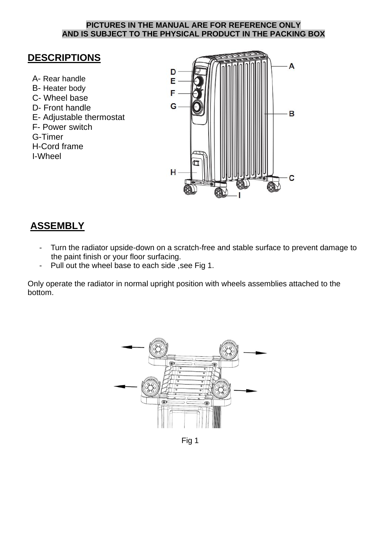#### **PICTURES IN THE MANUAL ARE FOR REFERENCE ONLY AND IS SUBJECT TO THE PHYSICAL PRODUCT IN THE PACKING BOX**

### **DESCRIPTIONS**

A- Rear handle B- Heater body C- Wheel base D- Front handle E- Adjustable thermostat F- Power switch G-Timer H-Cord frame I-Wheel



### **ASSEMBLY**

- Turn the radiator upside-down on a scratch-free and stable surface to prevent damage to the paint finish or your floor surfacing.
- Pull out the wheel base to each side, see Fig 1.

Only operate the radiator in normal upright position with wheels assemblies attached to the bottom.



Fig 1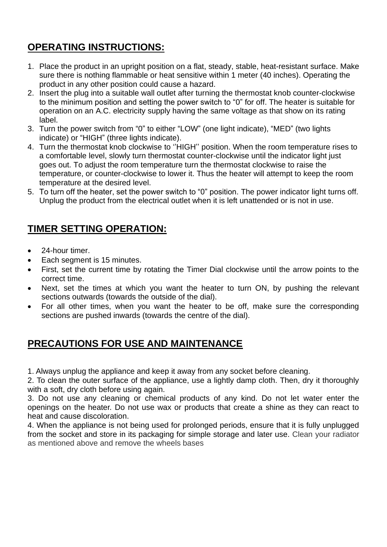## **OPERATING INSTRUCTIONS:**

- 1. Place the product in an upright position on a flat, steady, stable, heat-resistant surface. Make sure there is nothing flammable or heat sensitive within 1 meter (40 inches). Operating the product in any other position could cause a hazard.
- 2. Insert the plug into a suitable wall outlet after turning the thermostat knob counter-clockwise to the minimum position and setting the power switch to "0" for off. The heater is suitable for operation on an A.C. electricity supply having the same voltage as that show on its rating label.
- 3. Turn the power switch from "0" to either "LOW" (one light indicate), "MED" (two lights indicate) or "HIGH" (three lights indicate).
- 4. Turn the thermostat knob clockwise to ''HIGH'' position. When the room temperature rises to a comfortable level, slowly turn thermostat counter-clockwise until the indicator light just goes out. To adjust the room temperature turn the thermostat clockwise to raise the temperature, or counter-clockwise to lower it. Thus the heater will attempt to keep the room temperature at the desired level.
- 5. To turn off the heater, set the power switch to "0" position. The power indicator light turns off. Unplug the product from the electrical outlet when it is left unattended or is not in use.

## **TIMER SETTING OPERATION:**

- 24-hour timer.
- Each segment is 15 minutes.
- First, set the current time by rotating the Timer Dial clockwise until the arrow points to the correct time.
- Next, set the times at which you want the heater to turn ON, by pushing the relevant sections outwards (towards the outside of the dial).
- For all other times, when you want the heater to be off, make sure the corresponding sections are pushed inwards (towards the centre of the dial).

## **PRECAUTIONS FOR USE AND MAINTENANCE**

1. Always unplug the appliance and keep it away from any socket before cleaning.

2. To clean the outer surface of the appliance, use a lightly damp cloth. Then, dry it thoroughly with a soft, dry cloth before using again.

3. Do not use any cleaning or chemical products of any kind. Do not let water enter the openings on the heater. Do not use wax or products that create a shine as they can react to heat and cause discoloration.

4. When the appliance is not being used for prolonged periods, ensure that it is fully unplugged from the socket and store in its packaging for simple storage and later use. Clean your radiator as mentioned above and remove the wheels bases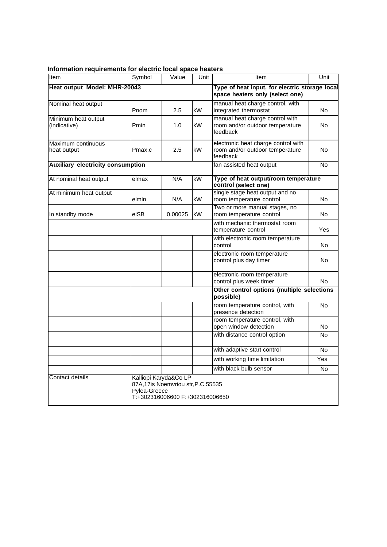| Item                                     | Symbol | Value                                                                                                         | Unit | Item                                                                               | Unit           |  |
|------------------------------------------|--------|---------------------------------------------------------------------------------------------------------------|------|------------------------------------------------------------------------------------|----------------|--|
| Heat output Model: MHR-20043             |        |                                                                                                               |      | Type of heat input, for electric storage local<br>space heaters only (select one)  |                |  |
| Nominal heat output                      | Pnom   | 2.5                                                                                                           | kW   | manual heat charge control, with<br>integrated thermostat                          | No.            |  |
| Minimum heat output<br>(indicative)      | Pmin   | 1.0                                                                                                           | kW   | manual heat charge control with<br>room and/or outdoor temperature<br>feedback     | No.            |  |
| Maximum continuous<br>heat output        | Pmax,c | 2.5                                                                                                           | kW   | electronic heat charge control with<br>room and/or outdoor temperature<br>feedback | No             |  |
| <b>Auxiliary electricity consumption</b> |        |                                                                                                               |      | fan assisted heat output                                                           | No             |  |
| At nominal heat output                   | elmax  | N/A                                                                                                           | kW   | Type of heat output/room temperature<br>control (select one)                       |                |  |
| At minimum heat output                   | elmin  | N/A                                                                                                           | kW   | single stage heat output and no<br>room temperature control                        | No             |  |
| In standby mode                          | elSB   | 0.00025                                                                                                       | kW   | Two or more manual stages, no<br>room temperature control                          | No.            |  |
|                                          |        |                                                                                                               |      | with mechanic thermostat room<br>temperature control                               | Yes            |  |
|                                          |        |                                                                                                               |      | with electronic room temperature<br>control                                        | No             |  |
|                                          |        |                                                                                                               |      | electronic room temperature<br>control plus day timer                              | No             |  |
|                                          |        |                                                                                                               |      | electronic room temperature<br>control plus week timer                             | No.            |  |
|                                          |        |                                                                                                               |      | Other control options (multiple selections<br>possible)                            |                |  |
|                                          |        |                                                                                                               |      | room temperature control, with<br>presence detection                               | $\overline{N}$ |  |
|                                          |        |                                                                                                               |      | room temperature control, with<br>open window detection                            | No             |  |
|                                          |        |                                                                                                               |      | with distance control option                                                       | No             |  |
|                                          |        |                                                                                                               |      | with adaptive start control                                                        | No             |  |
|                                          |        |                                                                                                               |      | with working time limitation                                                       | Yes            |  |
|                                          |        |                                                                                                               |      | with black bulb sensor                                                             | No             |  |
| Contact details                          |        | Kalliopi Karyda&Co LP<br>87A,17is Noemvriou str, P.C.55535<br>Pylea-Greece<br>T:+302316006600 F:+302316006650 |      |                                                                                    |                |  |

#### **Information requirements for electric local space heaters**